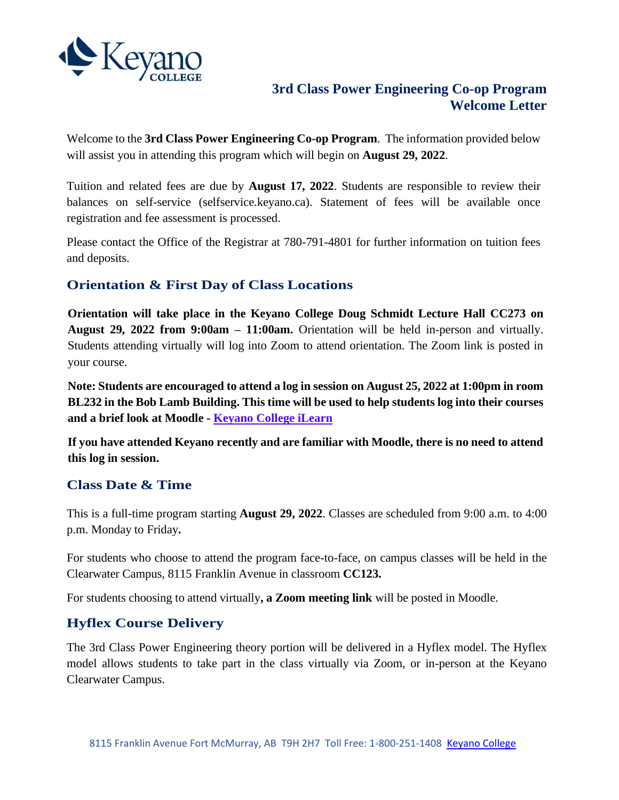

## **3rd Class Power Engineering Co-op Program Welcome Letter**

Welcome to the **3rd Class Power Engineering Co-op Program**. The information provided below will assist you in attending this program which will begin on **August 29, 2022**.

Tuition and related fees are due by **August 17, 2022**. Students are responsible to review their balances on self-service (selfservice.keyano.ca). Statement of fees will be available once registration and fee assessment is processed.

Please contact the Office of the Registrar at 780-791-4801 for further information on tuition fees and deposits.

# **Orientation & First Day of Class Locations**

**Orientation will take place in the Keyano College Doug Schmidt Lecture Hall CC273 on August 29, 2022 from 9:00am – 11:00am.** Orientation will be held in-person and virtually. Students attending virtually will log into Zoom to attend orientation. The Zoom link is posted in your course.

**Note: Students are encouraged to attend a log in session on August 25, 2022 at 1:00pm in room BL232 in the Bob Lamb Building. This time will be used to help students log into their courses and a brief look at Moodle - [Keyano College iLearn](https://ilearn.keyano.ca/)**

**If you have attended Keyano recently and are familiar with Moodle, there is no need to attend this log in session.**

#### **Class Date & Time**

This is a full-time program starting **August 29, 2022**. Classes are scheduled from 9:00 a.m. to 4:00 p.m. Monday to Friday**.**

For students who choose to attend the program face-to-face, on campus classes will be held in the Clearwater Campus, 8115 Franklin Avenue in classroom **CC123.**

For students choosing to attend virtually**, a Zoom meeting link** will be posted in Moodle.

# **Hyflex Course Delivery**

The 3rd Class Power Engineering theory portion will be delivered in a Hyflex model. The Hyflex model allows students to take part in the class virtually via Zoom, or in-person at the Keyano Clearwater Campus.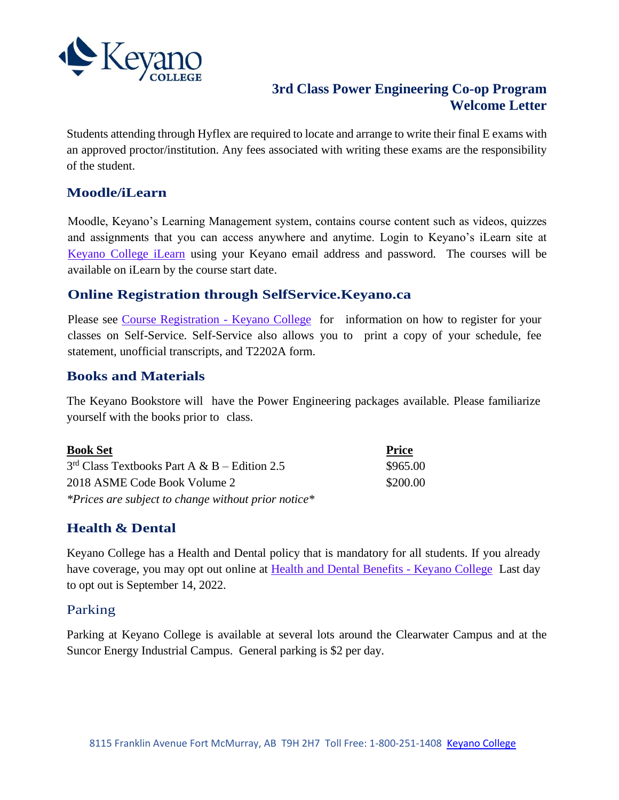

## **3rd Class Power Engineering Co-op Program Welcome Letter**

Students attending through Hyflex are required to locate and arrange to write their final E exams with an approved proctor/institution. Any fees associated with writing these exams are the responsibility of the student.

## **Moodle/iLearn**

Moodle, Keyano's Learning Management system, contains course content such as videos, quizzes and assignments that you can access anywhere and anytime. Login to Keyano's iLearn site at [Keyano College iLearn](https://ilearn.keyano.ca/) using your Keyano email address and password. The courses will be available on iLearn by the course start date.

#### **Online Registration through SelfService.Keyano.ca**

Please see [Course Registration -](https://www.keyano.ca/en/programs-and-courses/course-registration.aspx) Keyano College for information on how to register for your classes on Self-Service. Self-Service also allows you to print a copy of your schedule, fee statement, unofficial transcripts, and T2202A form.

#### **Books and Materials**

The Keyano Bookstore will have the Power Engineering packages available. Please familiarize yourself with the books prior to class.

| <b>Book Set</b>                                     | <b>Price</b> |
|-----------------------------------------------------|--------------|
| $3rd Class Textbooks Part A & B - Edition 2.5$      | \$965.00     |
| 2018 ASME Code Book Volume 2                        | \$200.00     |
| *Prices are subject to change without prior notice* |              |

# **Health & Dental**

Keyano College has a Health and Dental policy that is mandatory for all students. If you already have coverage, you may opt out online at [Health and Dental Benefits -](https://www.keyano.ca/en/student-services/health-and-dental-benefits.aspx) Keyano College Last day to opt out is September 14, 2022.

#### Parking

Parking at Keyano College is available at several lots around the Clearwater Campus and at the Suncor Energy Industrial Campus. General parking is \$2 per day.